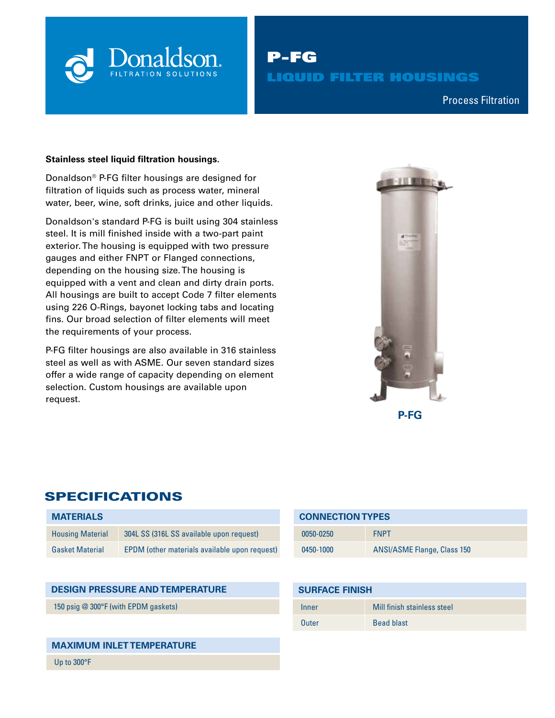

P-FG LIQUID FILTER HOUSINGS

Compressed Air & Process Filtration Process Filtration

#### **Stainless steel liquid filtration housings.**

Donaldson® P-FG filter housings are designed for filtration of liquids such as process water, mineral water, beer, wine, soft drinks, juice and other liquids.

Donaldson's standard P-FG is built using 304 stainless steel. It is mill finished inside with a two-part paint exterior. The housing is equipped with two pressure gauges and either FNPT or Flanged connections, depending on the housing size. The housing is equipped with a vent and clean and dirty drain ports. All housings are built to accept Code 7 filter elements using 226 O-Rings, bayonet locking tabs and locating fins. Our broad selection of filter elements will meet the requirements of your process.

P-FG filter housings are also available in 316 stainless steel as well as with ASME. Our seven standard sizes offer a wide range of capacity depending on element selection. Custom housings are available upon request.



# SPECIFICATIONS

| <b>MATERIALS</b>        |                                               |
|-------------------------|-----------------------------------------------|
| <b>Housing Material</b> | 304L SS (316L SS available upon request)      |
| <b>Gasket Material</b>  | EPDM (other materials available upon request) |

### **DESIGN PRESSURE AND TEMPERATURE**

150 psig @ 300°F (with EPDM gaskets)

### **MAXIMUM INLET TEMPERATURE**

Up to 300°F

| <b>CONNECTION TYPES</b> |                             |  |  |  |  |
|-------------------------|-----------------------------|--|--|--|--|
| 0050-0250               | <b>FNPT</b>                 |  |  |  |  |
| 0450-1000               | ANSI/ASME Flange, Class 150 |  |  |  |  |

| <b>SURFACE FINISH</b> |                             |  |  |  |  |  |
|-----------------------|-----------------------------|--|--|--|--|--|
| Inner                 | Mill finish stainless steel |  |  |  |  |  |
| Outer                 | <b>Bead blast</b>           |  |  |  |  |  |